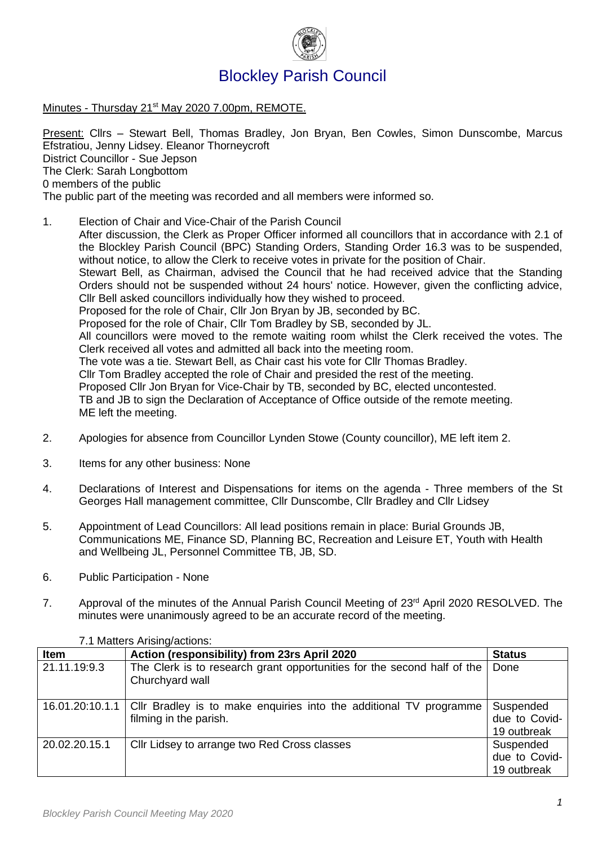

## Minutes - Thursday 21<sup>st</sup> May 2020 7.00pm, REMOTE.

Present: Cllrs – Stewart Bell, Thomas Bradley, Jon Bryan, Ben Cowles, Simon Dunscombe, Marcus Efstratiou, Jenny Lidsey. Eleanor Thorneycroft District Councillor - Sue Jepson The Clerk: Sarah Longbottom 0 members of the public The public part of the meeting was recorded and all members were informed so.

### 1. Election of Chair and Vice-Chair of the Parish Council

After discussion, the Clerk as Proper Officer informed all councillors that in accordance with 2.1 of the Blockley Parish Council (BPC) Standing Orders, Standing Order 16.3 was to be suspended, without notice, to allow the Clerk to receive votes in private for the position of Chair. Stewart Bell, as Chairman, advised the Council that he had received advice that the Standing Orders should not be suspended without 24 hours' notice. However, given the conflicting advice, Cllr Bell asked councillors individually how they wished to proceed. Proposed for the role of Chair, Cllr Jon Bryan by JB, seconded by BC. Proposed for the role of Chair, Cllr Tom Bradley by SB, seconded by JL. All councillors were moved to the remote waiting room whilst the Clerk received the votes. The Clerk received all votes and admitted all back into the meeting room. The vote was a tie. Stewart Bell, as Chair cast his vote for Cllr Thomas Bradley. Cllr Tom Bradley accepted the role of Chair and presided the rest of the meeting. Proposed Cllr Jon Bryan for Vice-Chair by TB, seconded by BC, elected uncontested. TB and JB to sign the Declaration of Acceptance of Office outside of the remote meeting. ME left the meeting.

- 2. Apologies for absence from Councillor Lynden Stowe (County councillor), ME left item 2.
- 3. Items for any other business: None
- 4. Declarations of Interest and Dispensations for items on the agenda Three members of the St Georges Hall management committee, Cllr Dunscombe, Cllr Bradley and Cllr Lidsey
- 5. Appointment of Lead Councillors: All lead positions remain in place: Burial Grounds JB, Communications ME, Finance SD, Planning BC, Recreation and Leisure ET, Youth with Health and Wellbeing JL, Personnel Committee TB, JB, SD.
- 6. Public Participation None
- 7. Approval of the minutes of the Annual Parish Council Meeting of  $23<sup>rd</sup>$  April 2020 RESOLVED. The minutes were unanimously agreed to be an accurate record of the meeting.

| <b>Item</b>     | Action (responsibility) from 23rs April 2020                                                 | <b>Status</b>                             |
|-----------------|----------------------------------------------------------------------------------------------|-------------------------------------------|
| 21.11.19:9.3    | The Clerk is to research grant opportunities for the second half of the<br>Churchyard wall   | Done                                      |
| 16.01.20:10.1.1 | Cllr Bradley is to make enquiries into the additional TV programme<br>filming in the parish. | Suspended<br>due to Covid-<br>19 outbreak |
| 20.02.20.15.1   | Cllr Lidsey to arrange two Red Cross classes                                                 | Suspended<br>due to Covid-<br>19 outbreak |

#### 7.1 Matters Arising/actions: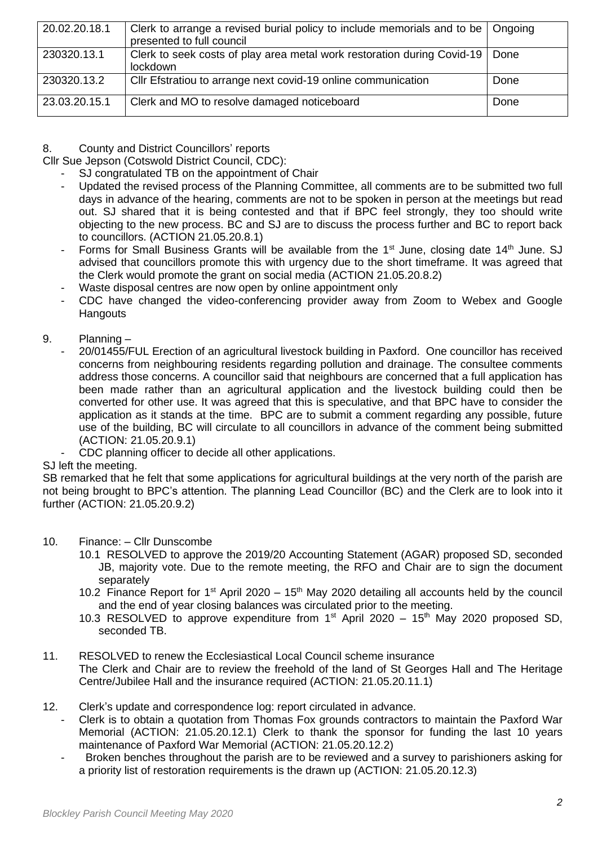| 20.02.20.18.1 | Clerk to arrange a revised burial policy to include memorials and to be   Ongoing<br>presented to full council |        |
|---------------|----------------------------------------------------------------------------------------------------------------|--------|
| 230320.13.1   | Clerk to seek costs of play area metal work restoration during Covid-19<br>lockdown                            | . Done |
| 230320.13.2   | Cllr Efstratiou to arrange next covid-19 online communication                                                  | Done   |
| 23.03.20.15.1 | Clerk and MO to resolve damaged noticeboard                                                                    | Done   |

# 8. County and District Councillors' reports

Cllr Sue Jepson (Cotswold District Council, CDC):

- SJ congratulated TB on the appointment of Chair
- Updated the revised process of the Planning Committee, all comments are to be submitted two full days in advance of the hearing, comments are not to be spoken in person at the meetings but read out. SJ shared that it is being contested and that if BPC feel strongly, they too should write objecting to the new process. BC and SJ are to discuss the process further and BC to report back to councillors. (ACTION 21.05.20.8.1)
- Forms for Small Business Grants will be available from the 1<sup>st</sup> June, closing date 14<sup>th</sup> June. SJ advised that councillors promote this with urgency due to the short timeframe. It was agreed that the Clerk would promote the grant on social media (ACTION 21.05.20.8.2)
- Waste disposal centres are now open by online appointment only
- CDC have changed the video-conferencing provider away from Zoom to Webex and Google **Hangouts**
- 9. Planning
	- 20/01455/FUL Erection of an agricultural livestock building in Paxford. One councillor has received concerns from neighbouring residents regarding pollution and drainage. The consultee comments address those concerns. A councillor said that neighbours are concerned that a full application has been made rather than an agricultural application and the livestock building could then be converted for other use. It was agreed that this is speculative, and that BPC have to consider the application as it stands at the time. BPC are to submit a comment regarding any possible, future use of the building, BC will circulate to all councillors in advance of the comment being submitted (ACTION: 21.05.20.9.1)
	- CDC planning officer to decide all other applications.

# SJ left the meeting.

SB remarked that he felt that some applications for agricultural buildings at the very north of the parish are not being brought to BPC's attention. The planning Lead Councillor (BC) and the Clerk are to look into it further (ACTION: 21.05.20.9.2)

- 10. Finance: Cllr Dunscombe
	- 10.1 RESOLVED to approve the 2019/20 Accounting Statement (AGAR) proposed SD, seconded JB, majority vote. Due to the remote meeting, the RFO and Chair are to sign the document separately
	- 10.2 Finance Report for 1<sup>st</sup> April 2020 15<sup>th</sup> May 2020 detailing all accounts held by the council and the end of year closing balances was circulated prior to the meeting.
	- 10.3 RESOLVED to approve expenditure from  $1<sup>st</sup>$  April 2020 15<sup>th</sup> May 2020 proposed SD, seconded TB.
- 11. RESOLVED to renew the Ecclesiastical Local Council scheme insurance The Clerk and Chair are to review the freehold of the land of St Georges Hall and The Heritage Centre/Jubilee Hall and the insurance required (ACTION: 21.05.20.11.1)
- 12. Clerk's update and correspondence log: report circulated in advance.
	- Clerk is to obtain a quotation from Thomas Fox grounds contractors to maintain the Paxford War Memorial (ACTION: 21.05.20.12.1) Clerk to thank the sponsor for funding the last 10 years maintenance of Paxford War Memorial (ACTION: 21.05.20.12.2)
		- Broken benches throughout the parish are to be reviewed and a survey to parishioners asking for a priority list of restoration requirements is the drawn up (ACTION: 21.05.20.12.3)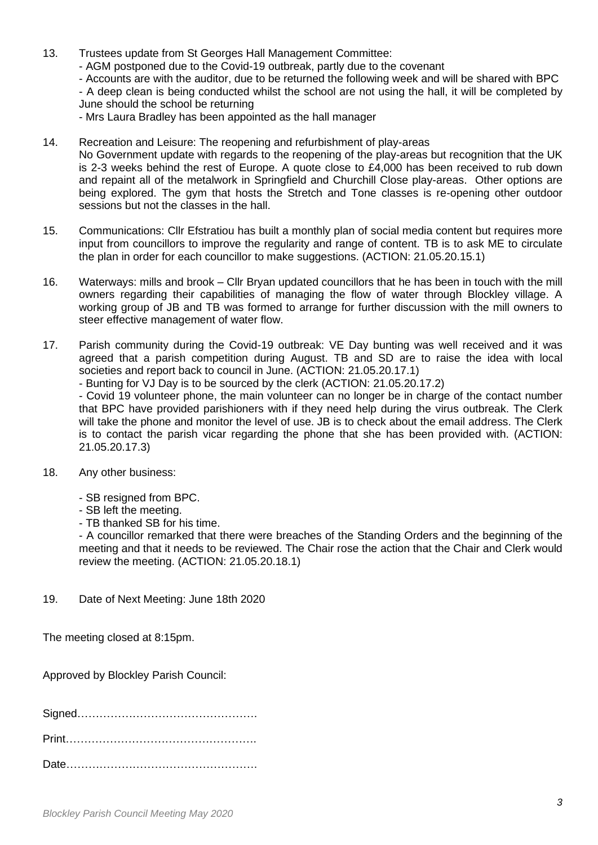- 13. Trustees update from St Georges Hall Management Committee:
	- AGM postponed due to the Covid-19 outbreak, partly due to the covenant
	- Accounts are with the auditor, due to be returned the following week and will be shared with BPC
	- A deep clean is being conducted whilst the school are not using the hall, it will be completed by
	- June should the school be returning

- Mrs Laura Bradley has been appointed as the hall manager

- 14. Recreation and Leisure: The reopening and refurbishment of play-areas No Government update with regards to the reopening of the play-areas but recognition that the UK is 2-3 weeks behind the rest of Europe. A quote close to £4,000 has been received to rub down and repaint all of the metalwork in Springfield and Churchill Close play-areas. Other options are being explored. The gym that hosts the Stretch and Tone classes is re-opening other outdoor sessions but not the classes in the hall.
- 15. Communications: Cllr Efstratiou has built a monthly plan of social media content but requires more input from councillors to improve the regularity and range of content. TB is to ask ME to circulate the plan in order for each councillor to make suggestions. (ACTION: 21.05.20.15.1)
- 16. Waterways: mills and brook Cllr Bryan updated councillors that he has been in touch with the mill owners regarding their capabilities of managing the flow of water through Blockley village. A working group of JB and TB was formed to arrange for further discussion with the mill owners to steer effective management of water flow.
- 17. Parish community during the Covid-19 outbreak: VE Day bunting was well received and it was agreed that a parish competition during August. TB and SD are to raise the idea with local societies and report back to council in June. (ACTION: 21.05.20.17.1)

- Bunting for VJ Day is to be sourced by the clerk (ACTION: 21.05.20.17.2)

- Covid 19 volunteer phone, the main volunteer can no longer be in charge of the contact number that BPC have provided parishioners with if they need help during the virus outbreak. The Clerk will take the phone and monitor the level of use. JB is to check about the email address. The Clerk is to contact the parish vicar regarding the phone that she has been provided with. (ACTION: 21.05.20.17.3)

- 18. Any other business:
	- SB resigned from BPC.
	- SB left the meeting.
	- TB thanked SB for his time.

- A councillor remarked that there were breaches of the Standing Orders and the beginning of the meeting and that it needs to be reviewed. The Chair rose the action that the Chair and Clerk would review the meeting. (ACTION: 21.05.20.18.1)

19. Date of Next Meeting: June 18th 2020

The meeting closed at 8:15pm.

Approved by Blockley Parish Council:

Signed………………………………………….

Print…………………………………………….

Date…………………………………………….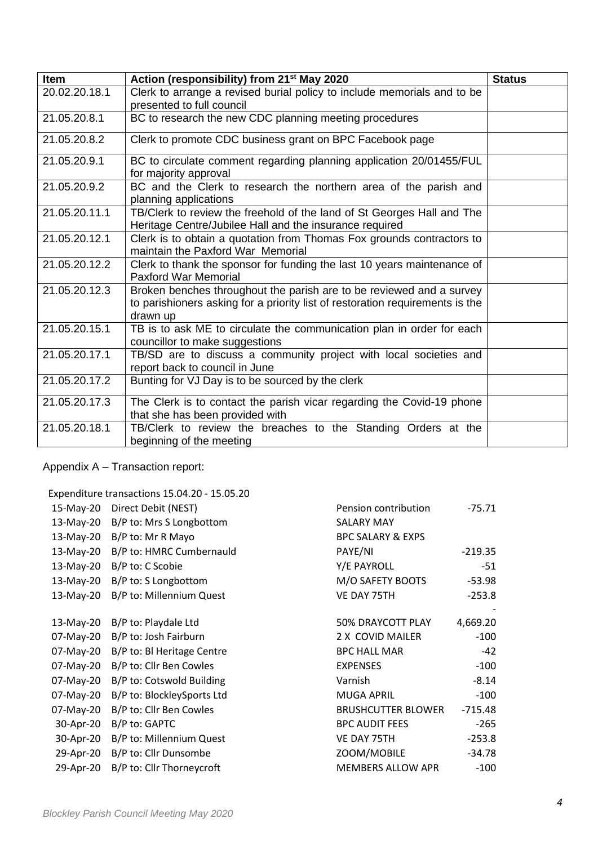| Item          | Action (responsibility) from 21 <sup>st</sup> May 2020                                                                                                            | <b>Status</b> |
|---------------|-------------------------------------------------------------------------------------------------------------------------------------------------------------------|---------------|
| 20.02.20.18.1 | Clerk to arrange a revised burial policy to include memorials and to be<br>presented to full council                                                              |               |
| 21.05.20.8.1  | BC to research the new CDC planning meeting procedures                                                                                                            |               |
| 21.05.20.8.2  | Clerk to promote CDC business grant on BPC Facebook page                                                                                                          |               |
| 21.05.20.9.1  | BC to circulate comment regarding planning application 20/01455/FUL<br>for majority approval                                                                      |               |
| 21.05.20.9.2  | BC and the Clerk to research the northern area of the parish and<br>planning applications                                                                         |               |
| 21.05.20.11.1 | TB/Clerk to review the freehold of the land of St Georges Hall and The<br>Heritage Centre/Jubilee Hall and the insurance required                                 |               |
| 21.05.20.12.1 | Clerk is to obtain a quotation from Thomas Fox grounds contractors to<br>maintain the Paxford War Memorial                                                        |               |
| 21.05.20.12.2 | Clerk to thank the sponsor for funding the last 10 years maintenance of<br><b>Paxford War Memorial</b>                                                            |               |
| 21.05.20.12.3 | Broken benches throughout the parish are to be reviewed and a survey<br>to parishioners asking for a priority list of restoration requirements is the<br>drawn up |               |
| 21.05.20.15.1 | TB is to ask ME to circulate the communication plan in order for each<br>councillor to make suggestions                                                           |               |
| 21.05.20.17.1 | TB/SD are to discuss a community project with local societies and<br>report back to council in June                                                               |               |
| 21.05.20.17.2 | Bunting for VJ Day is to be sourced by the clerk                                                                                                                  |               |
| 21.05.20.17.3 | The Clerk is to contact the parish vicar regarding the Covid-19 phone<br>that she has been provided with                                                          |               |
| 21.05.20.18.1 | TB/Clerk to review the breaches to the Standing Orders at the<br>beginning of the meeting                                                                         |               |

Appendix A – Transaction report:

Expenditure transactions 15.04.20 - 15.05.20

|           |                            | Pension contribution         | $-75.71$  |
|-----------|----------------------------|------------------------------|-----------|
| 15-May-20 | Direct Debit (NEST)        |                              |           |
| 13-May-20 | B/P to: Mrs S Longbottom   | <b>SALARY MAY</b>            |           |
| 13-May-20 | B/P to: Mr R Mayo          | <b>BPC SALARY &amp; EXPS</b> |           |
| 13-May-20 | B/P to: HMRC Cumbernauld   | PAYE/NI                      | $-219.35$ |
| 13-May-20 | B/P to: C Scobie           | Y/E PAYROLL                  | $-51$     |
| 13-May-20 | B/P to: S Longbottom       | M/O SAFETY BOOTS             | $-53.98$  |
| 13-May-20 | B/P to: Millennium Quest   | VE DAY 75TH                  | $-253.8$  |
|           |                            |                              |           |
| 13-May-20 | B/P to: Playdale Ltd       | 50% DRAYCOTT PLAY            | 4,669.20  |
| 07-May-20 | B/P to: Josh Fairburn      | 2 X COVID MAILER             | $-100$    |
| 07-May-20 | B/P to: BI Heritage Centre | <b>BPC HALL MAR</b>          | $-42$     |
| 07-May-20 | B/P to: Cllr Ben Cowles    | <b>EXPENSES</b>              | $-100$    |
| 07-May-20 | B/P to: Cotswold Building  | Varnish                      | $-8.14$   |
| 07-May-20 | B/P to: BlockleySports Ltd | <b>MUGA APRIL</b>            | $-100$    |
| 07-May-20 | B/P to: Cllr Ben Cowles    | <b>BRUSHCUTTER BLOWER</b>    | $-715.48$ |
| 30-Apr-20 | B/P to: GAPTC              | <b>BPC AUDIT FEES</b>        | $-265$    |
| 30-Apr-20 | B/P to: Millennium Quest   | VE DAY 75TH                  | $-253.8$  |
| 29-Apr-20 | B/P to: Cllr Dunsombe      | ZOOM/MOBILE                  | $-34.78$  |
| 29-Apr-20 | B/P to: Cllr Thorneycroft  | <b>MEMBERS ALLOW APR</b>     | $-100$    |
|           |                            |                              |           |